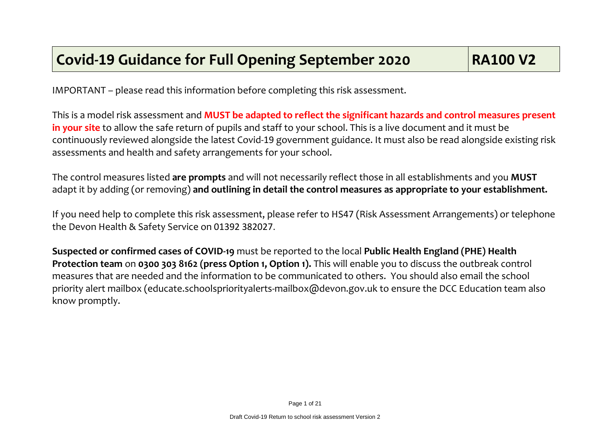IMPORTANT – please read this information before completing this risk assessment.

This is a model risk assessment and **MUST be adapted to reflect the significant hazards and control measures present in your site** to allow the safe return of pupils and staff to your school. This is a live document and it must be continuously reviewed alongside the latest Covid-19 government guidance. It must also be read alongside existing risk assessments and health and safety arrangements for your school.

The control measures listed **are prompts** and will not necessarily reflect those in all establishments and you **MUST** adapt it by adding (or removing) **and outlining in detail the control measures as appropriate to your establishment.**

If you need help to complete this risk assessment, please refer to HS47 (Risk Assessment Arrangements) or telephone the Devon Health & Safety Service on 01392 382027.

**Suspected or confirmed cases of COVID-19** must be reported to the local **Public Health England (PHE) Health Protection team** on **0300 303 8162 (press Option 1, Option 1).** This will enable you to discuss the outbreak control measures that are needed and the information to be communicated to others. You should also email the school priority alert mailbox (educate.schoolspriorityalerts-mailbox@devon.gov.uk to ensure the DCC Education team also know promptly.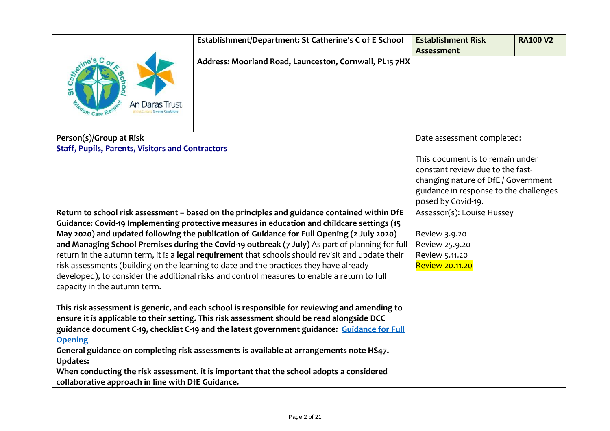|                                                         | Establishment/Department: St Catherine's C of E School                                                                                                                                                                                                                                                                                                                                                                                                                              | <b>Establishment Risk</b>                                                                                                                                                   | <b>RA100 V2</b> |
|---------------------------------------------------------|-------------------------------------------------------------------------------------------------------------------------------------------------------------------------------------------------------------------------------------------------------------------------------------------------------------------------------------------------------------------------------------------------------------------------------------------------------------------------------------|-----------------------------------------------------------------------------------------------------------------------------------------------------------------------------|-----------------|
|                                                         |                                                                                                                                                                                                                                                                                                                                                                                                                                                                                     | Assessment                                                                                                                                                                  |                 |
|                                                         | Address: Moorland Road, Launceston, Cornwall, PL15 7HX                                                                                                                                                                                                                                                                                                                                                                                                                              |                                                                                                                                                                             |                 |
| Person(s)/Group at Risk                                 |                                                                                                                                                                                                                                                                                                                                                                                                                                                                                     | Date assessment completed:                                                                                                                                                  |                 |
| <b>Staff, Pupils, Parents, Visitors and Contractors</b> |                                                                                                                                                                                                                                                                                                                                                                                                                                                                                     | This document is to remain under<br>constant review due to the fast-<br>changing nature of DfE / Government<br>guidance in response to the challenges<br>posed by Covid-19. |                 |
|                                                         | Return to school risk assessment - based on the principles and guidance contained within DfE                                                                                                                                                                                                                                                                                                                                                                                        | Assessor(s): Louise Hussey                                                                                                                                                  |                 |
|                                                         | Guidance: Covid-19 Implementing protective measures in education and childcare settings (15                                                                                                                                                                                                                                                                                                                                                                                         |                                                                                                                                                                             |                 |
|                                                         | May 2020) and updated following the publication of Guidance for Full Opening (2 July 2020)                                                                                                                                                                                                                                                                                                                                                                                          | Review 3.9.20                                                                                                                                                               |                 |
|                                                         | and Managing School Premises during the Covid-19 outbreak (7 July) As part of planning for full                                                                                                                                                                                                                                                                                                                                                                                     | Review 25.9.20                                                                                                                                                              |                 |
|                                                         | return in the autumn term, it is a legal requirement that schools should revisit and update their                                                                                                                                                                                                                                                                                                                                                                                   | Review 5.11.20                                                                                                                                                              |                 |
|                                                         | risk assessments (building on the learning to date and the practices they have already                                                                                                                                                                                                                                                                                                                                                                                              | Review 20.11.20                                                                                                                                                             |                 |
| capacity in the autumn term.                            | developed), to consider the additional risks and control measures to enable a return to full                                                                                                                                                                                                                                                                                                                                                                                        |                                                                                                                                                                             |                 |
| <b>Opening</b><br><b>Updates:</b>                       | This risk assessment is generic, and each school is responsible for reviewing and amending to<br>ensure it is applicable to their setting. This risk assessment should be read alongside DCC<br>guidance document C-19, checklist C-19 and the latest government guidance: Guidance for Full<br>General guidance on completing risk assessments is available at arrangements note HS47.<br>When conducting the risk assessment. it is important that the school adopts a considered |                                                                                                                                                                             |                 |
| collaborative approach in line with DfE Guidance.       |                                                                                                                                                                                                                                                                                                                                                                                                                                                                                     |                                                                                                                                                                             |                 |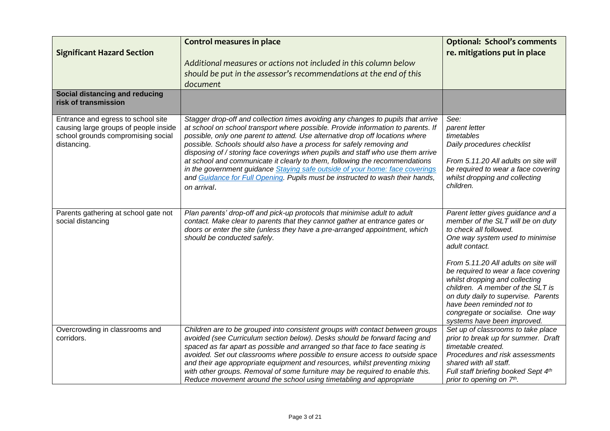| <b>Significant Hazard Section</b>                                                                                                | <b>Control measures in place</b><br>Additional measures or actions not included in this column below<br>should be put in the assessor's recommendations at the end of this<br>document                                                                                                                                                                                                                                                                                                                                                                                                                                                                                          | <b>Optional: School's comments</b><br>re. mitigations put in place                                                                                                                                                                                                                                                                                                                                                                                 |
|----------------------------------------------------------------------------------------------------------------------------------|---------------------------------------------------------------------------------------------------------------------------------------------------------------------------------------------------------------------------------------------------------------------------------------------------------------------------------------------------------------------------------------------------------------------------------------------------------------------------------------------------------------------------------------------------------------------------------------------------------------------------------------------------------------------------------|----------------------------------------------------------------------------------------------------------------------------------------------------------------------------------------------------------------------------------------------------------------------------------------------------------------------------------------------------------------------------------------------------------------------------------------------------|
| Social distancing and reducing<br>risk of transmission                                                                           |                                                                                                                                                                                                                                                                                                                                                                                                                                                                                                                                                                                                                                                                                 |                                                                                                                                                                                                                                                                                                                                                                                                                                                    |
| Entrance and egress to school site<br>causing large groups of people inside<br>school grounds compromising social<br>distancing. | Stagger drop-off and collection times avoiding any changes to pupils that arrive<br>at school on school transport where possible. Provide information to parents. If<br>possible, only one parent to attend. Use alternative drop off locations where<br>possible. Schools should also have a process for safely removing and<br>disposing of / storing face coverings when pupils and staff who use them arrive<br>at school and communicate it clearly to them, following the recommendations<br>in the government guidance Staying safe outside of your home: face coverings<br>and Guidance for Full Opening. Pupils must be instructed to wash their hands,<br>on arrival. | See:<br>parent letter<br>timetables<br>Daily procedures checklist<br>From 5.11.20 All adults on site will<br>be required to wear a face covering<br>whilst dropping and collecting<br>children.                                                                                                                                                                                                                                                    |
| Parents gathering at school gate not<br>social distancing                                                                        | Plan parents' drop-off and pick-up protocols that minimise adult to adult<br>contact. Make clear to parents that they cannot gather at entrance gates or<br>doors or enter the site (unless they have a pre-arranged appointment, which<br>should be conducted safely.                                                                                                                                                                                                                                                                                                                                                                                                          | Parent letter gives guidance and a<br>member of the SLT will be on duty<br>to check all followed.<br>One way system used to minimise<br>adult contact.<br>From 5.11.20 All adults on site will<br>be required to wear a face covering<br>whilst dropping and collecting<br>children. A member of the SLT is<br>on duty daily to supervise. Parents<br>have been reminded not to<br>congregate or socialise. One way<br>systems have been improved. |
| Overcrowding in classrooms and<br>corridors.                                                                                     | Children are to be grouped into consistent groups with contact between groups<br>avoided (see Curriculum section below). Desks should be forward facing and<br>spaced as far apart as possible and arranged so that face to face seating is<br>avoided. Set out classrooms where possible to ensure access to outside space<br>and their age appropriate equipment and resources, whilst preventing mixing<br>with other groups. Removal of some furniture may be required to enable this.<br>Reduce movement around the school using timetabling and appropriate                                                                                                               | Set up of classrooms to take place<br>prior to break up for summer. Draft<br>timetable created.<br>Procedures and risk assessments<br>shared with all staff.<br>Full staff briefing booked Sept 4th<br>prior to opening on 7 <sup>th</sup> .                                                                                                                                                                                                       |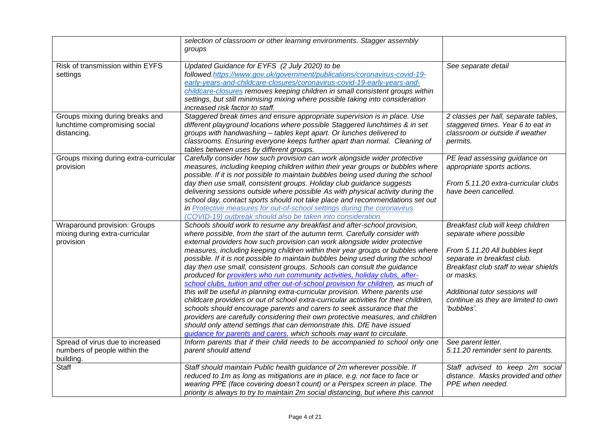|                                             | selection of classroom or other learning environments. Stagger assembly                                                                                     |                                      |
|---------------------------------------------|-------------------------------------------------------------------------------------------------------------------------------------------------------------|--------------------------------------|
|                                             | groups                                                                                                                                                      |                                      |
|                                             |                                                                                                                                                             |                                      |
| Risk of transmission within EYFS            | Updated Guidance for EYFS (2 July 2020) to be                                                                                                               | See separate detail                  |
| settings                                    | followed.https://www.gov.uk/government/publications/coronavirus-covid-19-                                                                                   |                                      |
|                                             | early-years-and-childcare-closures/coronavirus-covid-19-early-years-and-<br>childcare-closures removes keeping children in small consistent groups within   |                                      |
|                                             | settings, but still minimising mixing where possible taking into consideration                                                                              |                                      |
|                                             | increased risk factor to staff.                                                                                                                             |                                      |
| Groups mixing during breaks and             | Staggered break times and ensure appropriate supervision is in place. Use                                                                                   | 2 classes per hall, separate tables, |
| lunchtime compromising social               | different playground locations where possible Staggered lunchtimes & in set                                                                                 | staggered times. Year 6 to eat in    |
| distancing.                                 | groups with handwashing - tables kept apart. Or lunches delivered to                                                                                        | classroom or outside if weather      |
|                                             | classrooms. Ensuring everyone keeps further apart than normal. Cleaning of                                                                                  | permits.                             |
|                                             | tables between uses by different groups.                                                                                                                    |                                      |
| Groups mixing during extra-curricular       | Carefully consider how such provision can work alongside wider protective                                                                                   | PE lead assessing guidance on        |
| provision                                   | measures, including keeping children within their year groups or bubbles where                                                                              | appropriate sports actions.          |
|                                             | possible. If it is not possible to maintain bubbles being used during the school                                                                            |                                      |
|                                             | day then use small, consistent groups. Holiday club guidance suggests                                                                                       | From 5.11.20 extra-curricular clubs  |
|                                             | delivering sessions outside where possible As with physical activity during the                                                                             | have been cancelled.                 |
|                                             | school day, contact sports should not take place and recommendations set out                                                                                |                                      |
|                                             | in Protective measures for out-of-school settings during the coronavirus                                                                                    |                                      |
|                                             | (COVID-19) outbreak should also be taken into consideration.                                                                                                |                                      |
| Wraparound provision: Groups                | Schools should work to resume any breakfast and after-school provision,                                                                                     | Breakfast club will keep children    |
| mixing during extra-curricular<br>provision | where possible, from the start of the autumn term. Carefully consider with                                                                                  | separate where possible              |
|                                             | external providers how such provision can work alongside wider protective<br>measures, including keeping children within their year groups or bubbles where | From 5.11.20 All bubbles kept        |
|                                             | possible. If it is not possible to maintain bubbles being used during the school                                                                            | separate in breakfast club.          |
|                                             | day then use small, consistent groups. Schools can consult the guidance                                                                                     | Breakfast club staff to wear shields |
|                                             | produced for providers who run community activities, holiday clubs, after-                                                                                  | or masks.                            |
|                                             | school clubs, tuition and other out-of-school provision for children, as much of                                                                            |                                      |
|                                             | this will be useful in planning extra-curricular provision. Where parents use                                                                               | Additional tutor sessions will       |
|                                             | childcare providers or out of school extra-curricular activities for their children,                                                                        | continue as they are limited to own  |
|                                             | schools should encourage parents and carers to seek assurance that the                                                                                      | 'bubbles'.                           |
|                                             | providers are carefully considering their own protective measures, and children                                                                             |                                      |
|                                             | should only attend settings that can demonstrate this. DfE have issued                                                                                      |                                      |
|                                             | guidance for parents and carers, which schools may want to circulate.                                                                                       |                                      |
| Spread of virus due to increased            | Inform parents that if their child needs to be accompanied to school only one                                                                               | See parent letter.                   |
| numbers of people within the                | parent should attend                                                                                                                                        | 5.11.20 reminder sent to parents.    |
| building.                                   |                                                                                                                                                             |                                      |
| Staff                                       | Staff should maintain Public health guidance of 2m wherever possible. If                                                                                    | Staff advised to keep 2m social      |
|                                             | reduced to 1m as long as mitigations are in place, e.g. not face to face or                                                                                 | distance. Masks provided and other   |
|                                             | wearing PPE (face covering doesn't count) or a Perspex screen in place. The                                                                                 | PPE when needed.                     |
|                                             | priority is always to try to maintain 2m social distancing, but where this cannot                                                                           |                                      |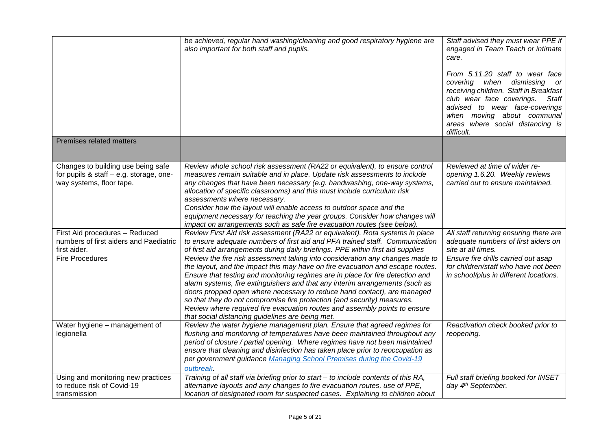|                                                                                                           | be achieved, regular hand washing/cleaning and good respiratory hygiene are<br>also important for both staff and pupils.                                                                                                                                                                                                                                                                                                                                                                                                                                                                                                  | Staff advised they must wear PPE if<br>engaged in Team Teach or intimate<br>care.<br>From 5.11.20 staff to wear face<br>covering when dismissing<br>or<br>receiving children. Staff in Breakfast<br>club wear face coverings.<br>Staff<br>advised to wear face-coverings<br>when moving about communal<br>areas where social distancing is<br>difficult. |
|-----------------------------------------------------------------------------------------------------------|---------------------------------------------------------------------------------------------------------------------------------------------------------------------------------------------------------------------------------------------------------------------------------------------------------------------------------------------------------------------------------------------------------------------------------------------------------------------------------------------------------------------------------------------------------------------------------------------------------------------------|----------------------------------------------------------------------------------------------------------------------------------------------------------------------------------------------------------------------------------------------------------------------------------------------------------------------------------------------------------|
| Premises related matters                                                                                  |                                                                                                                                                                                                                                                                                                                                                                                                                                                                                                                                                                                                                           |                                                                                                                                                                                                                                                                                                                                                          |
| Changes to building use being safe<br>for pupils & staff - e.g. storage, one-<br>way systems, floor tape. | Review whole school risk assessment (RA22 or equivalent), to ensure control<br>measures remain suitable and in place. Update risk assessments to include<br>any changes that have been necessary (e.g. handwashing, one-way systems,<br>allocation of specific classrooms) and this must include curriculum risk<br>assessments where necessary.<br>Consider how the layout will enable access to outdoor space and the<br>equipment necessary for teaching the year groups. Consider how changes will<br>impact on arrangements such as safe fire evacuation routes (see below).                                         | Reviewed at time of wider re-<br>opening 1.6.20. Weekly reviews<br>carried out to ensure maintained.                                                                                                                                                                                                                                                     |
| First Aid procedures - Reduced<br>numbers of first aiders and Paediatric<br>first aider.                  | Review First Aid risk assessment (RA22 or equivalent). Rota systems in place<br>to ensure adequate numbers of first aid and PFA trained staff. Communication<br>of first aid arrangements during daily briefings. PPE within first aid supplies                                                                                                                                                                                                                                                                                                                                                                           | All staff returning ensuring there are<br>adequate numbers of first aiders on<br>site at all times.                                                                                                                                                                                                                                                      |
| <b>Fire Procedures</b>                                                                                    | Review the fire risk assessment taking into consideration any changes made to<br>the layout, and the impact this may have on fire evacuation and escape routes.<br>Ensure that testing and monitoring regimes are in place for fire detection and<br>alarm systems, fire extinguishers and that any interim arrangements (such as<br>doors propped open where necessary to reduce hand contact), are managed<br>so that they do not compromise fire protection (and security) measures.<br>Review where required fire evacuation routes and assembly points to ensure<br>that social distancing guidelines are being met. | Ensure fire drills carried out asap<br>for children/staff who have not been<br>in school/plus in different locations.                                                                                                                                                                                                                                    |
| Water hygiene - management of<br>legionella                                                               | Review the water hygiene management plan. Ensure that agreed regimes for<br>flushing and monitoring of temperatures have been maintained throughout any<br>period of closure / partial opening. Where regimes have not been maintained<br>ensure that cleaning and disinfection has taken place prior to reoccupation as<br>per government guidance Managing School Premises during the Covid-19<br>outbreak.                                                                                                                                                                                                             | Reactivation check booked prior to<br>reopening.                                                                                                                                                                                                                                                                                                         |
| Using and monitoring new practices<br>to reduce risk of Covid-19<br>transmission                          | Training of all staff via briefing prior to start - to include contents of this RA,<br>alternative layouts and any changes to fire evacuation routes, use of PPE,<br>location of designated room for suspected cases. Explaining to children about                                                                                                                                                                                                                                                                                                                                                                        | Full staff briefing booked for INSET<br>day 4 <sup>th</sup> September.                                                                                                                                                                                                                                                                                   |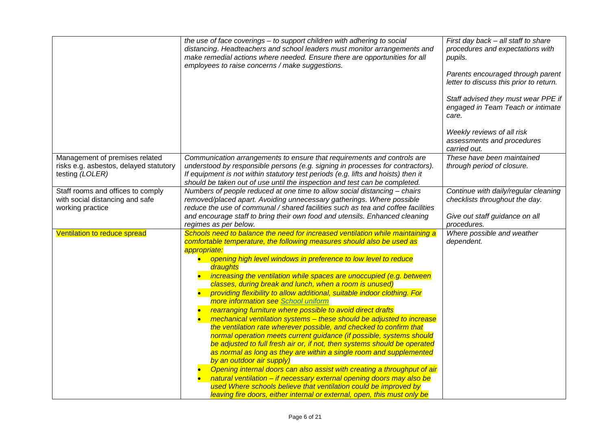|                                                           | the use of face coverings - to support children with adhering to social<br>distancing. Headteachers and school leaders must monitor arrangements and<br>make remedial actions where needed. Ensure there are opportunities for all<br>employees to raise concerns / make suggestions. | First day back - all staff to share<br>procedures and expectations with<br>pupils.<br>Parents encouraged through parent<br>letter to discuss this prior to return.<br>Staff advised they must wear PPE if<br>engaged in Team Teach or intimate<br>care.<br>Weekly reviews of all risk<br>assessments and procedures<br>carried out. |
|-----------------------------------------------------------|---------------------------------------------------------------------------------------------------------------------------------------------------------------------------------------------------------------------------------------------------------------------------------------|-------------------------------------------------------------------------------------------------------------------------------------------------------------------------------------------------------------------------------------------------------------------------------------------------------------------------------------|
| Management of premises related                            | Communication arrangements to ensure that requirements and controls are                                                                                                                                                                                                               | These have been maintained                                                                                                                                                                                                                                                                                                          |
| risks e.g. asbestos, delayed statutory<br>testing (LOLER) | understood by responsible persons (e.g. signing in processes for contractors).<br>If equipment is not within statutory test periods (e.g. lifts and hoists) then it<br>should be taken out of use until the inspection and test can be completed.                                     | through period of closure.                                                                                                                                                                                                                                                                                                          |
| Staff rooms and offices to comply                         | Numbers of people reduced at one time to allow social distancing - chairs                                                                                                                                                                                                             | Continue with daily/regular cleaning                                                                                                                                                                                                                                                                                                |
| with social distancing and safe                           | removed/placed apart. Avoiding unnecessary gatherings. Where possible                                                                                                                                                                                                                 | checklists throughout the day.                                                                                                                                                                                                                                                                                                      |
| working practice                                          | reduce the use of communal / shared facilities such as tea and coffee facilities<br>and encourage staff to bring their own food and utensils. Enhanced cleaning                                                                                                                       | Give out staff guidance on all                                                                                                                                                                                                                                                                                                      |
|                                                           | regimes as per below.                                                                                                                                                                                                                                                                 | procedures.                                                                                                                                                                                                                                                                                                                         |
| Ventilation to reduce spread                              | Schools need to balance the need for increased ventilation while maintaining a                                                                                                                                                                                                        | Where possible and weather                                                                                                                                                                                                                                                                                                          |
|                                                           | comfortable temperature, the following measures should also be used as                                                                                                                                                                                                                | dependent.                                                                                                                                                                                                                                                                                                                          |
|                                                           | appropriate:                                                                                                                                                                                                                                                                          |                                                                                                                                                                                                                                                                                                                                     |
|                                                           | opening high level windows in preference to low level to reduce<br>draughts                                                                                                                                                                                                           |                                                                                                                                                                                                                                                                                                                                     |
|                                                           | increasing the ventilation while spaces are unoccupied (e.g. between                                                                                                                                                                                                                  |                                                                                                                                                                                                                                                                                                                                     |
|                                                           | classes, during break and lunch, when a room is unused)                                                                                                                                                                                                                               |                                                                                                                                                                                                                                                                                                                                     |
|                                                           | providing flexibility to allow additional, suitable indoor clothing. For                                                                                                                                                                                                              |                                                                                                                                                                                                                                                                                                                                     |
|                                                           | more information see School uniform<br>rearranging furniture where possible to avoid direct drafts                                                                                                                                                                                    |                                                                                                                                                                                                                                                                                                                                     |
|                                                           | mechanical ventilation systems - these should be adjusted to increase                                                                                                                                                                                                                 |                                                                                                                                                                                                                                                                                                                                     |
|                                                           | the ventilation rate wherever possible, and checked to confirm that                                                                                                                                                                                                                   |                                                                                                                                                                                                                                                                                                                                     |
|                                                           | normal operation meets current guidance (if possible, systems should                                                                                                                                                                                                                  |                                                                                                                                                                                                                                                                                                                                     |
|                                                           | be adjusted to full fresh air or, if not, then systems should be operated                                                                                                                                                                                                             |                                                                                                                                                                                                                                                                                                                                     |
|                                                           | as normal as long as they are within a single room and supplemented                                                                                                                                                                                                                   |                                                                                                                                                                                                                                                                                                                                     |
|                                                           | by an outdoor air supply)                                                                                                                                                                                                                                                             |                                                                                                                                                                                                                                                                                                                                     |
|                                                           | Opening internal doors can also assist with creating a throughput of air<br>natural ventilation - if necessary external opening doors may also be                                                                                                                                     |                                                                                                                                                                                                                                                                                                                                     |
|                                                           | used Where schools believe that ventilation could be improved by                                                                                                                                                                                                                      |                                                                                                                                                                                                                                                                                                                                     |
|                                                           | leaving fire doors, either internal or external, open, this must only be                                                                                                                                                                                                              |                                                                                                                                                                                                                                                                                                                                     |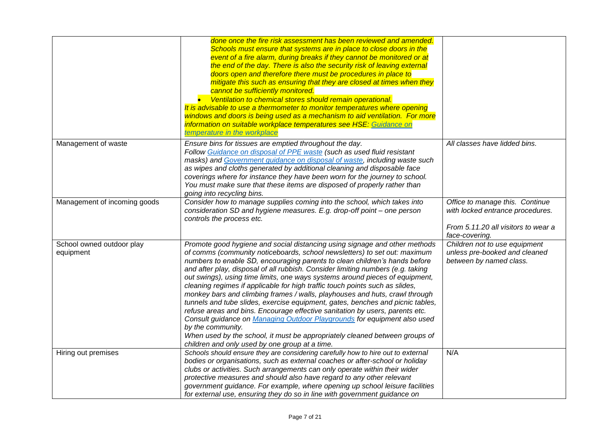|                                        | done once the fire risk assessment has been reviewed and amended.<br>Schools must ensure that systems are in place to close doors in the<br>event of a fire alarm, during breaks if they cannot be monitored or at<br>the end of the day. There is also the security risk of leaving external<br>doors open and therefore there must be procedures in place to<br>mitigate this such as ensuring that they are closed at times when they<br>cannot be sufficiently monitored.<br>• Ventilation to chemical stores should remain operational.<br>It is advisable to use a thermometer to monitor temperatures where opening<br>windows and doors is being used as a mechanism to aid ventilation. For more<br>information on suitable workplace temperatures see HSE: Guidance on<br>temperature in the workplace                                                                                                                                                            |                                                                                                                              |
|----------------------------------------|-----------------------------------------------------------------------------------------------------------------------------------------------------------------------------------------------------------------------------------------------------------------------------------------------------------------------------------------------------------------------------------------------------------------------------------------------------------------------------------------------------------------------------------------------------------------------------------------------------------------------------------------------------------------------------------------------------------------------------------------------------------------------------------------------------------------------------------------------------------------------------------------------------------------------------------------------------------------------------|------------------------------------------------------------------------------------------------------------------------------|
| Management of waste                    | Ensure bins for tissues are emptied throughout the day.<br>Follow Guidance on disposal of PPE waste (such as used fluid resistant<br>masks) and Government guidance on disposal of waste, including waste such<br>as wipes and cloths generated by additional cleaning and disposable face<br>coverings where for instance they have been worn for the journey to school.<br>You must make sure that these items are disposed of properly rather than<br>going into recycling bins.                                                                                                                                                                                                                                                                                                                                                                                                                                                                                         | All classes have lidded bins.                                                                                                |
| Management of incoming goods           | Consider how to manage supplies coming into the school, which takes into<br>consideration SD and hygiene measures. E.g. drop-off point - one person<br>controls the process etc.                                                                                                                                                                                                                                                                                                                                                                                                                                                                                                                                                                                                                                                                                                                                                                                            | Office to manage this. Continue<br>with locked entrance procedures.<br>From 5.11.20 all visitors to wear a<br>face-covering. |
| School owned outdoor play<br>equipment | Promote good hygiene and social distancing using signage and other methods<br>of comms (community noticeboards, school newsletters) to set out: maximum<br>numbers to enable SD, encouraging parents to clean children's hands before<br>and after play, disposal of all rubbish. Consider limiting numbers (e.g. taking<br>out swings), using time limits, one ways systems around pieces of equipment,<br>cleaning regimes if applicable for high traffic touch points such as slides,<br>monkey bars and climbing frames / walls, playhouses and huts, crawl through<br>tunnels and tube slides, exercise equipment, gates, benches and picnic tables,<br>refuse areas and bins. Encourage effective sanitation by users, parents etc.<br>Consult guidance on Managing Outdoor Playgrounds for equipment also used<br>by the community.<br>When used by the school, it must be appropriately cleaned between groups of<br>children and only used by one group at a time. | Children not to use equipment<br>unless pre-booked and cleaned<br>between by named class.                                    |
| Hiring out premises                    | Schools should ensure they are considering carefully how to hire out to external<br>bodies or organisations, such as external coaches or after-school or holiday<br>clubs or activities. Such arrangements can only operate within their wider<br>protective measures and should also have regard to any other relevant<br>government guidance. For example, where opening up school leisure facilities<br>for external use, ensuring they do so in line with government guidance on                                                                                                                                                                                                                                                                                                                                                                                                                                                                                        | N/A                                                                                                                          |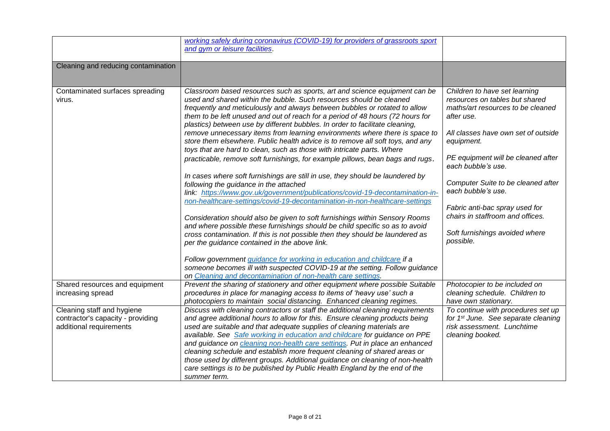|                                     | working safely during coronavirus (COVID-19) for providers of grassroots sport                                                                                    |                                                          |
|-------------------------------------|-------------------------------------------------------------------------------------------------------------------------------------------------------------------|----------------------------------------------------------|
|                                     | and gym or leisure facilities.                                                                                                                                    |                                                          |
|                                     |                                                                                                                                                                   |                                                          |
| Cleaning and reducing contamination |                                                                                                                                                                   |                                                          |
|                                     |                                                                                                                                                                   |                                                          |
|                                     |                                                                                                                                                                   |                                                          |
| Contaminated surfaces spreading     | Classroom based resources such as sports, art and science equipment can be                                                                                        | Children to have set learning                            |
| virus.                              | used and shared within the bubble. Such resources should be cleaned                                                                                               | resources on tables but shared                           |
|                                     | frequently and meticulously and always between bubbles or rotated to allow                                                                                        | maths/art resources to be cleaned                        |
|                                     | them to be left unused and out of reach for a period of 48 hours (72 hours for                                                                                    | after use.                                               |
|                                     | plastics) between use by different bubbles. In order to facilitate cleaning,                                                                                      |                                                          |
|                                     | remove unnecessary items from learning environments where there is space to                                                                                       | All classes have own set of outside                      |
|                                     | store them elsewhere. Public health advice is to remove all soft toys, and any                                                                                    | equipment.                                               |
|                                     | toys that are hard to clean, such as those with intricate parts. Where                                                                                            |                                                          |
|                                     | practicable, remove soft furnishings, for example pillows, bean bags and rugs.                                                                                    | PE equipment will be cleaned after<br>each bubble's use. |
|                                     |                                                                                                                                                                   |                                                          |
|                                     | In cases where soft furnishings are still in use, they should be laundered by                                                                                     | Computer Suite to be cleaned after                       |
|                                     | following the guidance in the attached<br>link: https://www.gov.uk/government/publications/covid-19-decontamination-in-                                           | each bubble's use.                                       |
|                                     | non-healthcare-settings/covid-19-decontamination-in-non-healthcare-settings                                                                                       |                                                          |
|                                     |                                                                                                                                                                   | Fabric anti-bac spray used for                           |
|                                     | Consideration should also be given to soft furnishings within Sensory Rooms                                                                                       | chairs in staffroom and offices.                         |
|                                     | and where possible these furnishings should be child specific so as to avoid                                                                                      |                                                          |
|                                     | cross contamination. If this is not possible then they should be laundered as                                                                                     | Soft furnishings avoided where                           |
|                                     | per the guidance contained in the above link.                                                                                                                     | possible.                                                |
|                                     |                                                                                                                                                                   |                                                          |
|                                     | Follow government guidance for working in education and childcare if a                                                                                            |                                                          |
|                                     | someone becomes ill with suspected COVID-19 at the setting. Follow guidance                                                                                       |                                                          |
|                                     | on Cleaning and decontamination of non-health care settings.                                                                                                      |                                                          |
| Shared resources and equipment      | Prevent the sharing of stationery and other equipment where possible Suitable                                                                                     | Photocopier to be included on                            |
| increasing spread                   | procedures in place for managing access to items of 'heavy use' such a                                                                                            | cleaning schedule. Children to                           |
|                                     | photocopiers to maintain social distancing. Enhanced cleaning regimes.                                                                                            | have own stationary.                                     |
| Cleaning staff and hygiene          | Discuss with cleaning contractors or staff the additional cleaning requirements                                                                                   | To continue with procedures set up                       |
| contractor's capacity - providing   | and agree additional hours to allow for this. Ensure cleaning products being                                                                                      | for 1 <sup>st</sup> June. See separate cleaning          |
| additional requirements             | used are suitable and that adequate supplies of cleaning materials are                                                                                            | risk assessment. Lunchtime                               |
|                                     | available. See Safe working in education and childcare for guidance on PPE<br>and guidance on <i>cleaning non-health care settings</i> . Put in place an enhanced | cleaning booked.                                         |
|                                     | cleaning schedule and establish more frequent cleaning of shared areas or                                                                                         |                                                          |
|                                     | those used by different groups. Additional guidance on cleaning of non-health                                                                                     |                                                          |
|                                     | care settings is to be published by Public Health England by the end of the                                                                                       |                                                          |
|                                     | summer term.                                                                                                                                                      |                                                          |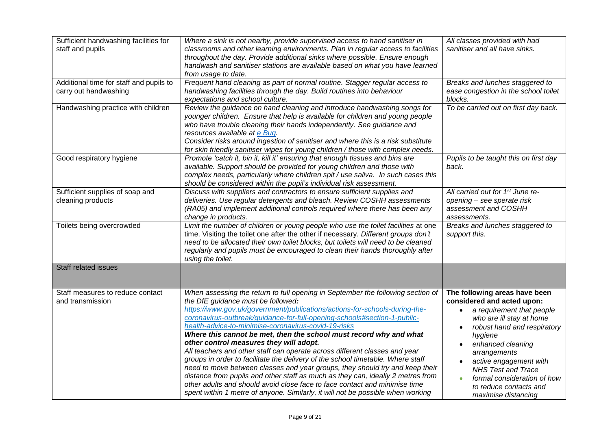| Sufficient handwashing facilities for<br>staff and pupils        | Where a sink is not nearby, provide supervised access to hand sanitiser in<br>classrooms and other learning environments. Plan in regular access to facilities<br>throughout the day. Provide additional sinks where possible. Ensure enough<br>handwash and sanitiser stations are available based on what you have learned<br>from usage to date.                                                                                                                                                                                                                                                                                                                                                                                                                                                                                                                                                                                                           | All classes provided with had<br>sanitiser and all have sinks.                                                                                                                                                                                                                                                                                          |
|------------------------------------------------------------------|---------------------------------------------------------------------------------------------------------------------------------------------------------------------------------------------------------------------------------------------------------------------------------------------------------------------------------------------------------------------------------------------------------------------------------------------------------------------------------------------------------------------------------------------------------------------------------------------------------------------------------------------------------------------------------------------------------------------------------------------------------------------------------------------------------------------------------------------------------------------------------------------------------------------------------------------------------------|---------------------------------------------------------------------------------------------------------------------------------------------------------------------------------------------------------------------------------------------------------------------------------------------------------------------------------------------------------|
| Additional time for staff and pupils to<br>carry out handwashing | Frequent hand cleaning as part of normal routine. Stagger regular access to<br>handwashing facilities through the day. Build routines into behaviour<br>expectations and school culture.                                                                                                                                                                                                                                                                                                                                                                                                                                                                                                                                                                                                                                                                                                                                                                      | Breaks and lunches staggered to<br>ease congestion in the school toilet<br>blocks.                                                                                                                                                                                                                                                                      |
| Handwashing practice with children                               | Review the guidance on hand cleaning and introduce handwashing songs for<br>younger children. Ensure that help is available for children and young people<br>who have trouble cleaning their hands independently. See guidance and<br>resources available at e Bug.<br>Consider risks around ingestion of sanitiser and where this is a risk substitute<br>for skin friendly sanitiser wipes for young children / those with complex needs.                                                                                                                                                                                                                                                                                                                                                                                                                                                                                                                   | To be carried out on first day back.                                                                                                                                                                                                                                                                                                                    |
| Good respiratory hygiene                                         | Promote 'catch it, bin it, kill it' ensuring that enough tissues and bins are<br>available. Support should be provided for young children and those with<br>complex needs, particularly where children spit / use saliva. In such cases this<br>should be considered within the pupil's individual risk assessment.                                                                                                                                                                                                                                                                                                                                                                                                                                                                                                                                                                                                                                           | Pupils to be taught this on first day<br>back.                                                                                                                                                                                                                                                                                                          |
| Sufficient supplies of soap and<br>cleaning products             | Discuss with suppliers and contractors to ensure sufficient supplies and<br>deliveries. Use regular detergents and bleach. Review COSHH assessments<br>(RA05) and implement additional controls required where there has been any<br>change in products.                                                                                                                                                                                                                                                                                                                                                                                                                                                                                                                                                                                                                                                                                                      | All carried out for 1 <sup>st</sup> June re-<br>opening - see sperate risk<br>assessment and COSHH<br>assessments.                                                                                                                                                                                                                                      |
| Toilets being overcrowded                                        | Limit the number of children or young people who use the toilet facilities at one<br>time. Visiting the toilet one after the other if necessary. Different groups don't<br>need to be allocated their own toilet blocks, but toilets will need to be cleaned<br>regularly and pupils must be encouraged to clean their hands thoroughly after<br>using the toilet.                                                                                                                                                                                                                                                                                                                                                                                                                                                                                                                                                                                            | Breaks and lunches staggered to<br>support this.                                                                                                                                                                                                                                                                                                        |
| <b>Staff related issues</b>                                      |                                                                                                                                                                                                                                                                                                                                                                                                                                                                                                                                                                                                                                                                                                                                                                                                                                                                                                                                                               |                                                                                                                                                                                                                                                                                                                                                         |
| Staff measures to reduce contact<br>and transmission             | When assessing the return to full opening in September the following section of<br>the DfE guidance must be followed:<br>https://www.gov.uk/government/publications/actions-for-schools-during-the-<br>coronavirus-outbreak/guidance-for-full-opening-schools#section-1-public-<br>health-advice-to-minimise-coronavirus-covid-19-risks<br>Where this cannot be met, then the school must record why and what<br>other control measures they will adopt.<br>All teachers and other staff can operate across different classes and year<br>groups in order to facilitate the delivery of the school timetable. Where staff<br>need to move between classes and year groups, they should try and keep their<br>distance from pupils and other staff as much as they can, ideally 2 metres from<br>other adults and should avoid close face to face contact and minimise time<br>spent within 1 metre of anyone. Similarly, it will not be possible when working | The following areas have been<br>considered and acted upon:<br>a requirement that people<br>$\bullet$<br>who are ill stay at home<br>robust hand and respiratory<br>hygiene<br>enhanced cleaning<br>arrangements<br>active engagement with<br><b>NHS Test and Trace</b><br>formal consideration of how<br>to reduce contacts and<br>maximise distancing |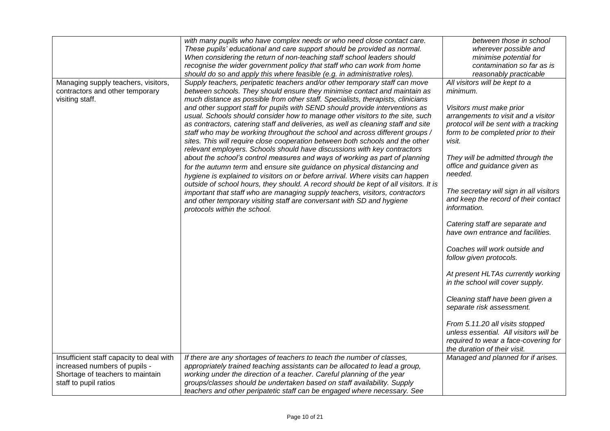|                                          | with many pupils who have complex needs or who need close contact care.              | between those in school                 |
|------------------------------------------|--------------------------------------------------------------------------------------|-----------------------------------------|
|                                          | These pupils' educational and care support should be provided as normal.             | wherever possible and                   |
|                                          | When considering the return of non-teaching staff school leaders should              | minimise potential for                  |
|                                          | recognise the wider government policy that staff who can work from home              | contamination so far as is              |
|                                          | should do so and apply this where feasible (e.g. in administrative roles)            | reasonably practicable                  |
| Managing supply teachers, visitors,      | Supply teachers, peripatetic teachers and/or other temporary staff can move          | All visitors will be kept to a          |
| contractors and other temporary          | between schools. They should ensure they minimise contact and maintain as            | minimum.                                |
| visiting staff.                          | much distance as possible from other staff. Specialists, therapists, clinicians      |                                         |
|                                          | and other support staff for pupils with SEND should provide interventions as         | Visitors must make prior                |
|                                          | usual. Schools should consider how to manage other visitors to the site, such        | arrangements to visit and a visitor     |
|                                          | as contractors, catering staff and deliveries, as well as cleaning staff and site    | protocol will be sent with a tracking   |
|                                          | staff who may be working throughout the school and across different groups /         | form to be completed prior to their     |
|                                          | sites. This will require close cooperation between both schools and the other        | visit.                                  |
|                                          | relevant employers. Schools should have discussions with key contractors             |                                         |
|                                          | about the school's control measures and ways of working as part of planning          | They will be admitted through the       |
|                                          | for the autumn term and ensure site guidance on physical distancing and              | office and guidance given as            |
|                                          | hygiene is explained to visitors on or before arrival. Where visits can happen       | needed.                                 |
|                                          | outside of school hours, they should. A record should be kept of all visitors. It is |                                         |
|                                          | important that staff who are managing supply teachers, visitors, contractors         | The secretary will sign in all visitors |
|                                          | and other temporary visiting staff are conversant with SD and hygiene                | and keep the record of their contact    |
|                                          | protocols within the school.                                                         | information.                            |
|                                          |                                                                                      |                                         |
|                                          |                                                                                      | Catering staff are separate and         |
|                                          |                                                                                      | have own entrance and facilities.       |
|                                          |                                                                                      |                                         |
|                                          |                                                                                      | Coaches will work outside and           |
|                                          |                                                                                      | follow given protocols.                 |
|                                          |                                                                                      |                                         |
|                                          |                                                                                      | At present HLTAs currently working      |
|                                          |                                                                                      | in the school will cover supply.        |
|                                          |                                                                                      |                                         |
|                                          |                                                                                      | Cleaning staff have been given a        |
|                                          |                                                                                      | separate risk assessment.               |
|                                          |                                                                                      |                                         |
|                                          |                                                                                      | From 5.11.20 all visits stopped         |
|                                          |                                                                                      | unless essential. All visitors will be  |
|                                          |                                                                                      | required to wear a face-covering for    |
|                                          |                                                                                      | the duration of their visit.            |
| Insufficient staff capacity to deal with | If there are any shortages of teachers to teach the number of classes,               | Managed and planned for if arises.      |
| increased numbers of pupils -            | appropriately trained teaching assistants can be allocated to lead a group,          |                                         |
| Shortage of teachers to maintain         | working under the direction of a teacher. Careful planning of the year               |                                         |
| staff to pupil ratios                    | groups/classes should be undertaken based on staff availability. Supply              |                                         |
|                                          | teachers and other peripatetic staff can be engaged where necessary. See             |                                         |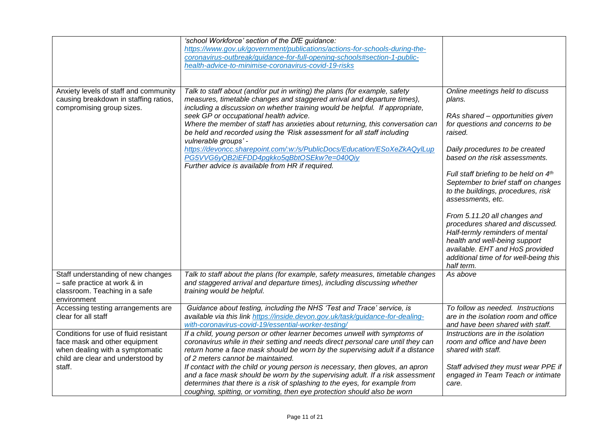|                                                                                                                                                          | 'school Workforce' section of the DfE guidance:<br>https://www.gov.uk/government/publications/actions-for-schools-during-the-<br>coronavirus-outbreak/guidance-for-full-opening-schools#section-1-public-<br>health-advice-to-minimise-coronavirus-covid-19-risks                                                                                                                                                                                                                                                                                                                                                                                 |                                                                                                                                                                                                                                                                                                                                                                                                                                                                                                                                                                                |
|----------------------------------------------------------------------------------------------------------------------------------------------------------|---------------------------------------------------------------------------------------------------------------------------------------------------------------------------------------------------------------------------------------------------------------------------------------------------------------------------------------------------------------------------------------------------------------------------------------------------------------------------------------------------------------------------------------------------------------------------------------------------------------------------------------------------|--------------------------------------------------------------------------------------------------------------------------------------------------------------------------------------------------------------------------------------------------------------------------------------------------------------------------------------------------------------------------------------------------------------------------------------------------------------------------------------------------------------------------------------------------------------------------------|
| Anxiety levels of staff and community<br>causing breakdown in staffing ratios,<br>compromising group sizes.                                              | Talk to staff about (and/or put in writing) the plans (for example, safety<br>measures, timetable changes and staggered arrival and departure times),<br>including a discussion on whether training would be helpful. If appropriate,<br>seek GP or occupational health advice.<br>Where the member of staff has anxieties about returning, this conversation can<br>be held and recorded using the 'Risk assessment for all staff including<br>vulnerable groups' -<br>https://devoncc.sharepoint.com/:w:/s/PublicDocs/Education/ESoXeZkAQyILup<br>PG5VVG6yQB2iEFDD4pgkko5qBbtOSEkw?e=040Qiy<br>Further advice is available from HR if required. | Online meetings held to discuss<br>plans.<br>RAs shared - opportunities given<br>for questions and concerns to be<br>raised.<br>Daily procedures to be created<br>based on the risk assessments.<br>Full staff briefing to be held on 4th<br>September to brief staff on changes<br>to the buildings, procedures, risk<br>assessments, etc.<br>From 5.11.20 all changes and<br>procedures shared and discussed.<br>Half-termly reminders of mental<br>health and well-being support<br>available. EHT and HoS provided<br>additional time of for well-being this<br>half term. |
| Staff understanding of new changes<br>- safe practice at work & in<br>classroom. Teaching in a safe<br>environment                                       | Talk to staff about the plans (for example, safety measures, timetable changes<br>and staggered arrival and departure times), including discussing whether<br>training would be helpful.                                                                                                                                                                                                                                                                                                                                                                                                                                                          | As above                                                                                                                                                                                                                                                                                                                                                                                                                                                                                                                                                                       |
| Accessing testing arrangements are<br>clear for all staff                                                                                                | Guidance about testing, including the NHS 'Test and Trace' service, is<br>available via this link https://inside.devon.gov.uk/task/guidance-for-dealing-<br>with-coronavirus-covid-19/essential-worker-testing/                                                                                                                                                                                                                                                                                                                                                                                                                                   | To follow as needed. Instructions<br>are in the isolation room and office<br>and have been shared with staff.                                                                                                                                                                                                                                                                                                                                                                                                                                                                  |
| Conditions for use of fluid resistant<br>face mask and other equipment<br>when dealing with a symptomatic<br>child are clear and understood by<br>staff. | If a child, young person or other learner becomes unwell with symptoms of<br>coronavirus while in their setting and needs direct personal care until they can<br>return home a face mask should be worn by the supervising adult if a distance<br>of 2 meters cannot be maintained.<br>If contact with the child or young person is necessary, then gloves, an apron<br>and a face mask should be worn by the supervising adult. If a risk assessment<br>determines that there is a risk of splashing to the eyes, for example from                                                                                                               | Instructions are in the isolation<br>room and office and have been<br>shared with staff.<br>Staff advised they must wear PPE if<br>engaged in Team Teach or intimate<br>care.                                                                                                                                                                                                                                                                                                                                                                                                  |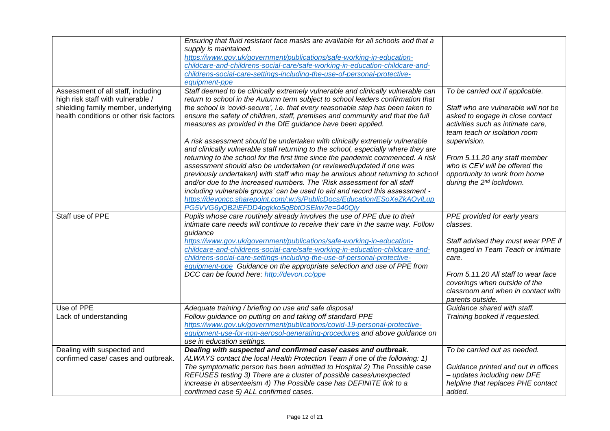|                                                                          | Ensuring that fluid resistant face masks are available for all schools and that a<br>supply is maintained.<br>https://www.gov.uk/government/publications/safe-working-in-education-<br>childcare-and-childrens-social-care/safe-working-in-education-childcare-and-<br>childrens-social-care-settings-including-the-use-of-personal-protective-                                                                                                                                                                                                                        |                                                                                                                                          |
|--------------------------------------------------------------------------|------------------------------------------------------------------------------------------------------------------------------------------------------------------------------------------------------------------------------------------------------------------------------------------------------------------------------------------------------------------------------------------------------------------------------------------------------------------------------------------------------------------------------------------------------------------------|------------------------------------------------------------------------------------------------------------------------------------------|
|                                                                          | equipment-ppe                                                                                                                                                                                                                                                                                                                                                                                                                                                                                                                                                          |                                                                                                                                          |
| Assessment of all staff, including                                       | Staff deemed to be clinically extremely vulnerable and clinically vulnerable can                                                                                                                                                                                                                                                                                                                                                                                                                                                                                       | To be carried out if applicable.                                                                                                         |
| high risk staff with vulnerable /<br>shielding family member, underlying | return to school in the Autumn term subject to school leaders confirmation that<br>the school is 'covid-secure', i.e. that every reasonable step has been taken to                                                                                                                                                                                                                                                                                                                                                                                                     | Staff who are vulnerable will not be                                                                                                     |
| health conditions or other risk factors                                  | ensure the safety of children, staff, premises and community and that the full<br>measures as provided in the DfE guidance have been applied.                                                                                                                                                                                                                                                                                                                                                                                                                          | asked to engage in close contact<br>activities such as intimate care,<br>team teach or isolation room                                    |
|                                                                          | A risk assessment should be undertaken with clinically extremely vulnerable                                                                                                                                                                                                                                                                                                                                                                                                                                                                                            | supervision.                                                                                                                             |
|                                                                          | and clinically vulnerable staff returning to the school, especially where they are<br>returning to the school for the first time since the pandemic commenced. A risk<br>assessment should also be undertaken (or reviewed/updated if one was<br>previously undertaken) with staff who may be anxious about returning to school<br>and/or due to the increased numbers. The 'Risk assessment for all staff<br>including vulnerable groups' can be used to aid and record this assessment -<br>https://devoncc.sharepoint.com/:w:/s/PublicDocs/Education/ESoXeZkAQyILup | From 5.11.20 any staff member<br>who is CEV will be offered the<br>opportunity to work from home<br>during the 2 <sup>nd</sup> lockdown. |
|                                                                          | PG5VVG6yQB2iEFDD4pgkko5qBbtOSEkw?e=040Qiy                                                                                                                                                                                                                                                                                                                                                                                                                                                                                                                              |                                                                                                                                          |
| Staff use of PPE                                                         | Pupils whose care routinely already involves the use of PPE due to their                                                                                                                                                                                                                                                                                                                                                                                                                                                                                               | PPE provided for early years                                                                                                             |
|                                                                          | intimate care needs will continue to receive their care in the same way. Follow                                                                                                                                                                                                                                                                                                                                                                                                                                                                                        | classes.                                                                                                                                 |
|                                                                          | guidance                                                                                                                                                                                                                                                                                                                                                                                                                                                                                                                                                               |                                                                                                                                          |
|                                                                          | https://www.gov.uk/government/publications/safe-working-in-education-                                                                                                                                                                                                                                                                                                                                                                                                                                                                                                  | Staff advised they must wear PPE if                                                                                                      |
|                                                                          | childcare-and-childrens-social-care/safe-working-in-education-childcare-and-                                                                                                                                                                                                                                                                                                                                                                                                                                                                                           | engaged in Team Teach or intimate                                                                                                        |
|                                                                          | childrens-social-care-settings-including-the-use-of-personal-protective-<br>equipment-ppe Guidance on the appropriate selection and use of PPE from                                                                                                                                                                                                                                                                                                                                                                                                                    | care.                                                                                                                                    |
|                                                                          | DCC can be found here: http://devon.cc/ppe                                                                                                                                                                                                                                                                                                                                                                                                                                                                                                                             | From 5.11.20 All staff to wear face<br>coverings when outside of the                                                                     |
|                                                                          |                                                                                                                                                                                                                                                                                                                                                                                                                                                                                                                                                                        | classroom and when in contact with<br>parents outside.                                                                                   |
| Use of PPE                                                               | Adequate training / briefing on use and safe disposal                                                                                                                                                                                                                                                                                                                                                                                                                                                                                                                  | Guidance shared with staff.                                                                                                              |
| Lack of understanding                                                    | Follow guidance on putting on and taking off standard PPE                                                                                                                                                                                                                                                                                                                                                                                                                                                                                                              | Training booked if requested.                                                                                                            |
|                                                                          | https://www.gov.uk/government/publications/covid-19-personal-protective-                                                                                                                                                                                                                                                                                                                                                                                                                                                                                               |                                                                                                                                          |
|                                                                          | equipment-use-for-non-aerosol-generating-procedures and above guidance on                                                                                                                                                                                                                                                                                                                                                                                                                                                                                              |                                                                                                                                          |
|                                                                          | use in education settings.                                                                                                                                                                                                                                                                                                                                                                                                                                                                                                                                             |                                                                                                                                          |
| Dealing with suspected and<br>confirmed case/ cases and outbreak.        | Dealing with suspected and confirmed case/ cases and outbreak.                                                                                                                                                                                                                                                                                                                                                                                                                                                                                                         | To be carried out as needed.                                                                                                             |
|                                                                          | ALWAYS contact the local Health Protection Team if one of the following: 1)<br>The symptomatic person has been admitted to Hospital 2) The Possible case                                                                                                                                                                                                                                                                                                                                                                                                               | Guidance printed and out in offices                                                                                                      |
|                                                                          | REFUSES testing 3) There are a cluster of possible cases/unexpected                                                                                                                                                                                                                                                                                                                                                                                                                                                                                                    | - updates including new DFE                                                                                                              |
|                                                                          | increase in absenteeism 4) The Possible case has DEFINITE link to a                                                                                                                                                                                                                                                                                                                                                                                                                                                                                                    | helpline that replaces PHE contact                                                                                                       |
|                                                                          | confirmed case 5) ALL confirmed cases.                                                                                                                                                                                                                                                                                                                                                                                                                                                                                                                                 | added.                                                                                                                                   |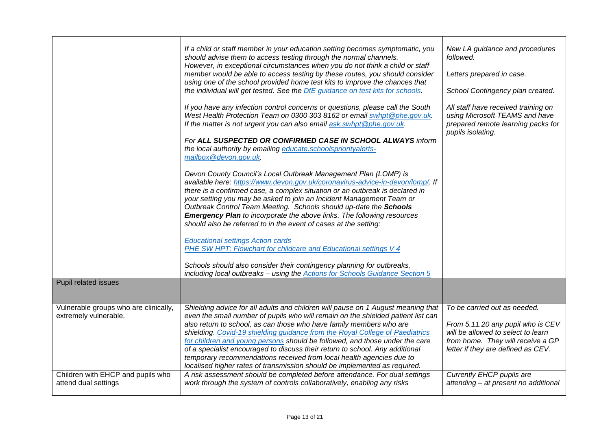| Pupil related issues                                           | If a child or staff member in your education setting becomes symptomatic, you<br>should advise them to access testing through the normal channels.<br>However, in exceptional circumstances when you do not think a child or staff<br>member would be able to access testing by these routes, you should consider<br>using one of the school provided home test kits to improve the chances that<br>the individual will get tested. See the DfE guidance on test kits for schools.<br>If you have any infection control concerns or questions, please call the South<br>West Health Protection Team on 0300 303 8162 or email swhpt@phe.gov.uk.<br>If the matter is not urgent you can also email ask.swhpt@phe.gov.uk.<br>For ALL SUSPECTED OR CONFIRMED CASE IN SCHOOL ALWAYS inform<br>the local authority by emailing educate.schoolspriorityalerts-<br>mailbox@devon.gov.uk.<br>Devon County Council's Local Outbreak Management Plan (LOMP) is<br>available here: https://www.devon.gov.uk/coronavirus-advice-in-devon/lomp/. If<br>there is a confirmed case, a complex situation or an outbreak is declared in<br>your setting you may be asked to join an Incident Management Team or<br>Outbreak Control Team Meeting. Schools should up-date the Schools<br><b>Emergency Plan</b> to incorporate the above links. The following resources<br>should also be referred to in the event of cases at the setting:<br><b>Educational settings Action cards</b><br>PHE SW HPT: Flowchart for childcare and Educational settings V 4<br>Schools should also consider their contingency planning for outbreaks,<br>including local outbreaks - using the Actions for Schools Guidance Section 5 | New LA guidance and procedures<br>followed.<br>Letters prepared in case.<br>School Contingency plan created.<br>All staff have received training on<br>using Microsoft TEAMS and have<br>prepared remote learning packs for<br>pupils isolating. |
|----------------------------------------------------------------|----------------------------------------------------------------------------------------------------------------------------------------------------------------------------------------------------------------------------------------------------------------------------------------------------------------------------------------------------------------------------------------------------------------------------------------------------------------------------------------------------------------------------------------------------------------------------------------------------------------------------------------------------------------------------------------------------------------------------------------------------------------------------------------------------------------------------------------------------------------------------------------------------------------------------------------------------------------------------------------------------------------------------------------------------------------------------------------------------------------------------------------------------------------------------------------------------------------------------------------------------------------------------------------------------------------------------------------------------------------------------------------------------------------------------------------------------------------------------------------------------------------------------------------------------------------------------------------------------------------------------------------------------------------------------------------------------|--------------------------------------------------------------------------------------------------------------------------------------------------------------------------------------------------------------------------------------------------|
|                                                                |                                                                                                                                                                                                                                                                                                                                                                                                                                                                                                                                                                                                                                                                                                                                                                                                                                                                                                                                                                                                                                                                                                                                                                                                                                                                                                                                                                                                                                                                                                                                                                                                                                                                                                    |                                                                                                                                                                                                                                                  |
| Vulnerable groups who are clinically,<br>extremely vulnerable. | Shielding advice for all adults and children will pause on 1 August meaning that<br>even the small number of pupils who will remain on the shielded patient list can<br>also return to school, as can those who have family members who are<br>shielding. Covid-19 shielding guidance from the Royal College of Paediatrics<br>for children and young persons should be followed, and those under the care<br>of a specialist encouraged to discuss their return to school. Any additional<br>temporary recommendations received from local health agencies due to<br>localised higher rates of transmission should be implemented as required.                                                                                                                                                                                                                                                                                                                                                                                                                                                                                                                                                                                                                                                                                                                                                                                                                                                                                                                                                                                                                                                    | To be carried out as needed.<br>From 5.11.20 any pupil who is CEV<br>will be allowed to select to learn<br>from home. They will receive a GP<br>letter if they are defined as CEV.                                                               |
| Children with EHCP and pupils who<br>attend dual settings      | A risk assessment should be completed before attendance. For dual settings<br>work through the system of controls collaboratively, enabling any risks                                                                                                                                                                                                                                                                                                                                                                                                                                                                                                                                                                                                                                                                                                                                                                                                                                                                                                                                                                                                                                                                                                                                                                                                                                                                                                                                                                                                                                                                                                                                              | Currently EHCP pupils are<br>attending - at present no additional                                                                                                                                                                                |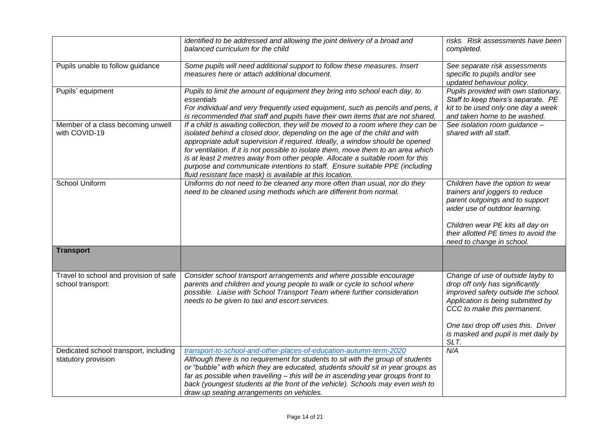|                                                              | identified to be addressed and allowing the joint delivery of a broad and<br>balanced curriculum for the child                                                                                                                                                                                                                                                                                                                                                                                                                                                      | risks. Risk assessments have been<br>completed.                                                                                                                                                                                                                       |  |
|--------------------------------------------------------------|---------------------------------------------------------------------------------------------------------------------------------------------------------------------------------------------------------------------------------------------------------------------------------------------------------------------------------------------------------------------------------------------------------------------------------------------------------------------------------------------------------------------------------------------------------------------|-----------------------------------------------------------------------------------------------------------------------------------------------------------------------------------------------------------------------------------------------------------------------|--|
| Pupils unable to follow guidance                             | Some pupils will need additional support to follow these measures. Insert<br>measures here or attach additional document.                                                                                                                                                                                                                                                                                                                                                                                                                                           | See separate risk assessments<br>specific to pupils and/or see<br>updated behaviour policy.                                                                                                                                                                           |  |
| Pupils' equipment                                            | Pupils to limit the amount of equipment they bring into school each day, to<br>essentials<br>For individual and very frequently used equipment, such as pencils and pens, it<br>is recommended that staff and pupils have their own items that are not shared.                                                                                                                                                                                                                                                                                                      | Pupils provided with own stationary.<br>Staff to keep theirs's separate. PE<br>kit to be used only one day a week<br>and taken home to be washed.                                                                                                                     |  |
| Member of a class becoming unwell<br>with COVID-19           | If a child is awaiting collection, they will be moved to a room where they can be<br>isolated behind a closed door, depending on the age of the child and with<br>appropriate adult supervision if required. Ideally, a window should be opened<br>for ventilation. If it is not possible to isolate them, move them to an area which<br>is at least 2 metres away from other people. Allocate a suitable room for this<br>purpose and communicate intentions to staff. Ensure suitable PPE (including<br>fluid resistant face mask) is available at this location. | See isolation room guidance -<br>shared with all staff.                                                                                                                                                                                                               |  |
| School Uniform                                               | Uniforms do not need to be cleaned any more often than usual, nor do they<br>need to be cleaned using methods which are different from normal.                                                                                                                                                                                                                                                                                                                                                                                                                      | Children have the option to wear<br>trainers and joggers to reduce<br>parent outgoings and to support<br>wider use of outdoor learning.<br>Children wear PE kits all day on<br>their allotted PE times to avoid the<br>need to change in school.                      |  |
| <b>Transport</b>                                             |                                                                                                                                                                                                                                                                                                                                                                                                                                                                                                                                                                     |                                                                                                                                                                                                                                                                       |  |
| Travel to school and provision of safe<br>school transport:  | Consider school transport arrangements and where possible encourage<br>parents and children and young people to walk or cycle to school where<br>possible. Liaise with School Transport Team where further consideration<br>needs to be given to taxi and escort services.                                                                                                                                                                                                                                                                                          | Change of use of outside layby to<br>drop off only has significantly<br>improved safety outside the school.<br>Application is being submitted by<br>CCC to make this permanent.<br>One taxi drop off uses this. Driver<br>is masked and pupil is met daily by<br>SLT. |  |
| Dedicated school transport, including<br>statutory provision | transport-to-school-and-other-places-of-education-autumn-term-2020<br>Although there is no requirement for students to sit with the group of students<br>or "bubble" with which they are educated, students should sit in year groups as<br>far as possible when travelling - this will be in ascending year groups front to<br>back (youngest students at the front of the vehicle). Schools may even wish to<br>draw up seating arrangements on vehicles.                                                                                                         | N/A                                                                                                                                                                                                                                                                   |  |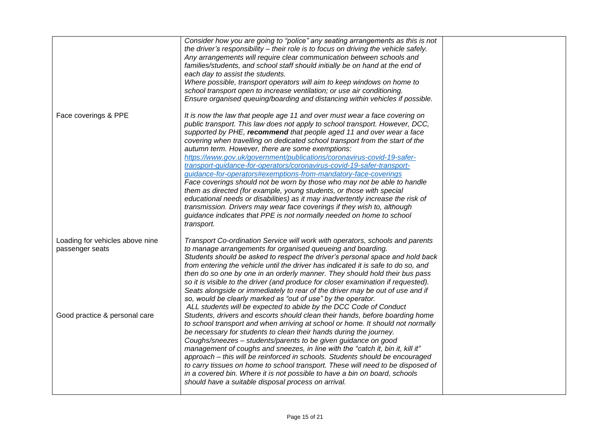|                                                    | Consider how you are going to "police" any seating arrangements as this is not<br>the driver's responsibility - their role is to focus on driving the vehicle safely.<br>Any arrangements will require clear communication between schools and<br>families/students, and school staff should initially be on hand at the end of<br>each day to assist the students.<br>Where possible, transport operators will aim to keep windows on home to<br>school transport open to increase ventilation; or use air conditioning.<br>Ensure organised queuing/boarding and distancing within vehicles if possible.                                                                                                                                                                                                                                                                                                                                                                                            |  |
|----------------------------------------------------|-------------------------------------------------------------------------------------------------------------------------------------------------------------------------------------------------------------------------------------------------------------------------------------------------------------------------------------------------------------------------------------------------------------------------------------------------------------------------------------------------------------------------------------------------------------------------------------------------------------------------------------------------------------------------------------------------------------------------------------------------------------------------------------------------------------------------------------------------------------------------------------------------------------------------------------------------------------------------------------------------------|--|
| Face coverings & PPE                               | It is now the law that people age 11 and over must wear a face covering on<br>public transport. This law does not apply to school transport. However, DCC,<br>supported by PHE, recommend that people aged 11 and over wear a face<br>covering when travelling on dedicated school transport from the start of the<br>autumn term. However, there are some exemptions:<br>https://www.gov.uk/government/publications/coronavirus-covid-19-safer-<br>transport-guidance-for-operators/coronavirus-covid-19-safer-transport-<br>guidance-for-operators#exemptions-from-mandatory-face-coverings<br>Face coverings should not be worn by those who may not be able to handle<br>them as directed (for example, young students, or those with special<br>educational needs or disabilities) as it may inadvertently increase the risk of<br>transmission. Drivers may wear face coverings if they wish to, although<br>guidance indicates that PPE is not normally needed on home to school<br>transport. |  |
| Loading for vehicles above nine<br>passenger seats | Transport Co-ordination Service will work with operators, schools and parents<br>to manage arrangements for organised queueing and boarding.<br>Students should be asked to respect the driver's personal space and hold back<br>from entering the vehicle until the driver has indicated it is safe to do so, and<br>then do so one by one in an orderly manner. They should hold their bus pass<br>so it is visible to the driver (and produce for closer examination if requested).<br>Seats alongside or immediately to rear of the driver may be out of use and if<br>so, would be clearly marked as "out of use" by the operator.<br>ALL students will be expected to abide by the DCC Code of Conduct                                                                                                                                                                                                                                                                                          |  |
| Good practice & personal care                      | Students, drivers and escorts should clean their hands, before boarding home<br>to school transport and when arriving at school or home. It should not normally<br>be necessary for students to clean their hands during the journey.<br>Coughs/sneezes - students/parents to be given guidance on good<br>management of coughs and sneezes, in line with the "catch it, bin it, kill it"<br>approach – this will be reinforced in schools. Students should be encouraged<br>to carry tissues on home to school transport. These will need to be disposed of<br>in a covered bin. Where it is not possible to have a bin on board, schools<br>should have a suitable disposal process on arrival.                                                                                                                                                                                                                                                                                                     |  |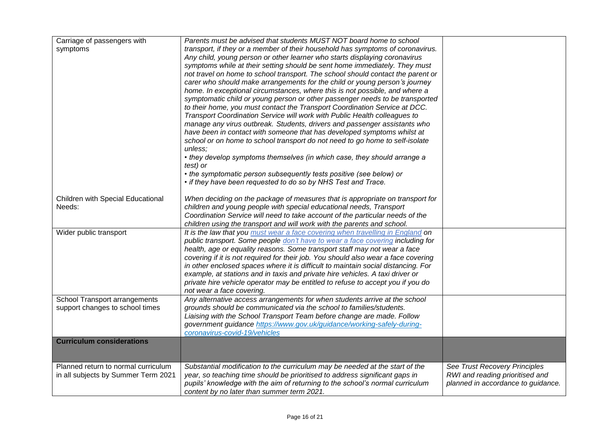| Carriage of passengers with<br>symptoms                                    | Parents must be advised that students MUST NOT board home to school<br>transport, if they or a member of their household has symptoms of coronavirus.<br>Any child, young person or other learner who starts displaying coronavirus<br>symptoms while at their setting should be sent home immediately. They must<br>not travel on home to school transport. The school should contact the parent or<br>carer who should make arrangements for the child or young person's journey<br>home. In exceptional circumstances, where this is not possible, and where a<br>symptomatic child or young person or other passenger needs to be transported<br>to their home, you must contact the Transport Coordination Service at DCC.<br>Transport Coordination Service will work with Public Health colleagues to<br>manage any virus outbreak. Students, drivers and passenger assistants who<br>have been in contact with someone that has developed symptoms whilst at |                                                                                                        |
|----------------------------------------------------------------------------|----------------------------------------------------------------------------------------------------------------------------------------------------------------------------------------------------------------------------------------------------------------------------------------------------------------------------------------------------------------------------------------------------------------------------------------------------------------------------------------------------------------------------------------------------------------------------------------------------------------------------------------------------------------------------------------------------------------------------------------------------------------------------------------------------------------------------------------------------------------------------------------------------------------------------------------------------------------------|--------------------------------------------------------------------------------------------------------|
|                                                                            | school or on home to school transport do not need to go home to self-isolate<br>unless:<br>• they develop symptoms themselves (in which case, they should arrange a<br>test) or<br>• the symptomatic person subsequently tests positive (see below) or<br>• if they have been requested to do so by NHS Test and Trace.                                                                                                                                                                                                                                                                                                                                                                                                                                                                                                                                                                                                                                              |                                                                                                        |
| Children with Special Educational<br>Needs:                                | When deciding on the package of measures that is appropriate on transport for<br>children and young people with special educational needs, Transport<br>Coordination Service will need to take account of the particular needs of the<br>children using the transport and will work with the parents and school.                                                                                                                                                                                                                                                                                                                                                                                                                                                                                                                                                                                                                                                     |                                                                                                        |
| Wider public transport                                                     | It is the law that you must wear a face covering when travelling in England on<br>public transport. Some people don't have to wear a face covering including for<br>health, age or equality reasons. Some transport staff may not wear a face<br>covering if it is not required for their job. You should also wear a face covering<br>in other enclosed spaces where it is difficult to maintain social distancing. For<br>example, at stations and in taxis and private hire vehicles. A taxi driver or<br>private hire vehicle operator may be entitled to refuse to accept you if you do<br>not wear a face covering.                                                                                                                                                                                                                                                                                                                                            |                                                                                                        |
| School Transport arrangements<br>support changes to school times           | Any alternative access arrangements for when students arrive at the school<br>grounds should be communicated via the school to families/students.<br>Liaising with the School Transport Team before change are made. Follow<br>government guidance https://www.gov.uk/guidance/working-safely-during-<br>coronavirus-covid-19/vehicles                                                                                                                                                                                                                                                                                                                                                                                                                                                                                                                                                                                                                               |                                                                                                        |
| <b>Curriculum considerations</b>                                           |                                                                                                                                                                                                                                                                                                                                                                                                                                                                                                                                                                                                                                                                                                                                                                                                                                                                                                                                                                      |                                                                                                        |
| Planned return to normal curriculum<br>in all subjects by Summer Term 2021 | Substantial modification to the curriculum may be needed at the start of the<br>year, so teaching time should be prioritised to address significant gaps in<br>pupils' knowledge with the aim of returning to the school's normal curriculum<br>content by no later than summer term 2021.                                                                                                                                                                                                                                                                                                                                                                                                                                                                                                                                                                                                                                                                           | See Trust Recovery Principles<br>RWI and reading prioritised and<br>planned in accordance to guidance. |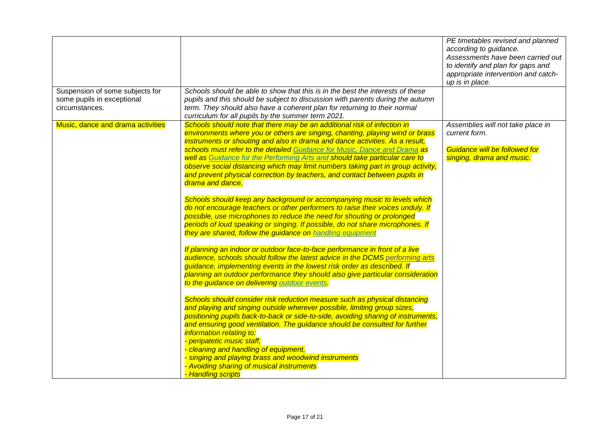|                                                                                 |                                                                                                                                                                                                                                                                                                                                                                                                                                                                                       | PE timetables revised and planned<br>according to guidance.<br>Assessments have been carried out<br>to identify and plan for gaps and<br>appropriate intervention and catch-<br>up is in place. |
|---------------------------------------------------------------------------------|---------------------------------------------------------------------------------------------------------------------------------------------------------------------------------------------------------------------------------------------------------------------------------------------------------------------------------------------------------------------------------------------------------------------------------------------------------------------------------------|-------------------------------------------------------------------------------------------------------------------------------------------------------------------------------------------------|
| Suspension of some subjects for<br>some pupils in exceptional<br>circumstances. | Schools should be able to show that this is in the best the interests of these<br>pupils and this should be subject to discussion with parents during the autumn<br>term. They should also have a coherent plan for returning to their normal<br>curriculum for all pupils by the summer term 2021.                                                                                                                                                                                   |                                                                                                                                                                                                 |
| Music, dance and drama activities                                               | Schools should note that there may be an additional risk of infection in<br>environments where you or others are singing, chanting, playing wind or brass<br>instruments or shouting and also in drama and dance activities. As a result,                                                                                                                                                                                                                                             | Assemblies will not take place in<br>current form.                                                                                                                                              |
|                                                                                 | schools must refer to the detailed Guidance for Music, Dance and Drama as<br>well as Guidance for the Performing Arts and should take particular care to<br>observe social distancing which may limit numbers taking part in group activity,<br>and prevent physical correction by teachers, and contact between pupils in<br>drama and dance.                                                                                                                                        | Guidance will be followed for<br>singing, drama and music.                                                                                                                                      |
|                                                                                 | Schools should keep any background or accompanying music to levels which<br>do not encourage teachers or other performers to raise their voices unduly. If<br>possible, use microphones to reduce the need for shouting or prolonged<br>periods of loud speaking or singing. If possible, do not share microphones. If<br>they are shared, follow the guidance on handling equipment                                                                                                  |                                                                                                                                                                                                 |
|                                                                                 | If planning an indoor or outdoor face-to-face performance in front of a live<br>audience, schools should follow the latest advice in the DCMS performing arts<br>guidance, implementing events in the lowest risk order as described. If<br>planning an outdoor performance they should also give particular consideration<br>to the guidance on delivering outdoor events.                                                                                                           |                                                                                                                                                                                                 |
|                                                                                 | Schools should consider risk reduction measure such as physical distancing<br>and playing and singing outside wherever possible, limiting group sizes,<br>positioning pupils back-to-back or side-to-side, avoiding sharing of instruments,<br>and ensuring good ventilation. The guidance should be consulted for further<br>information relating to:<br>- peripatetic music staff,<br>- cleaning and handling of equipment,<br>- singing and playing brass and woodwind instruments |                                                                                                                                                                                                 |
|                                                                                 | - Avoiding sharing of musical instruments<br>- Handling scripts                                                                                                                                                                                                                                                                                                                                                                                                                       |                                                                                                                                                                                                 |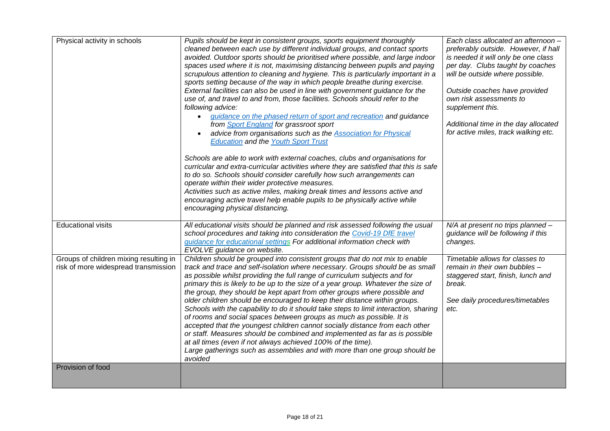| Physical activity in schools<br>Pupils should be kept in consistent groups, sports equipment thoroughly<br>cleaned between each use by different individual groups, and contact sports<br>avoided. Outdoor sports should be prioritised where possible, and large indoor<br>spaces used where it is not, maximising distancing between pupils and paying<br>scrupulous attention to cleaning and hygiene. This is particularly important in a<br>sports setting because of the way in which people breathe during exercise.<br>External facilities can also be used in line with government guidance for the<br>use of, and travel to and from, those facilities. Schools should refer to the<br>following advice:<br>guidance on the phased return of sport and recreation and guidance<br>$\bullet$<br>from Sport England for grassroot sport<br>advice from organisations such as the <b>Association for Physical</b><br><b>Education and the Youth Sport Trust</b> |                                                                                                                                                                                                                                                                                                                                                                                                                                                                                                                                                                                                                                                                                                                                                                                                                                                                                                                                                                                   | Each class allocated an afternoon -<br>preferably outside. However, if hall<br>is needed it will only be one class<br>per day. Clubs taught by coaches<br>will be outside where possible.<br>Outside coaches have provided<br>own risk assessments to<br>supplement this.<br>Additional time in the day allocated<br>for active miles, track walking etc. |
|------------------------------------------------------------------------------------------------------------------------------------------------------------------------------------------------------------------------------------------------------------------------------------------------------------------------------------------------------------------------------------------------------------------------------------------------------------------------------------------------------------------------------------------------------------------------------------------------------------------------------------------------------------------------------------------------------------------------------------------------------------------------------------------------------------------------------------------------------------------------------------------------------------------------------------------------------------------------|-----------------------------------------------------------------------------------------------------------------------------------------------------------------------------------------------------------------------------------------------------------------------------------------------------------------------------------------------------------------------------------------------------------------------------------------------------------------------------------------------------------------------------------------------------------------------------------------------------------------------------------------------------------------------------------------------------------------------------------------------------------------------------------------------------------------------------------------------------------------------------------------------------------------------------------------------------------------------------------|-----------------------------------------------------------------------------------------------------------------------------------------------------------------------------------------------------------------------------------------------------------------------------------------------------------------------------------------------------------|
|                                                                                                                                                                                                                                                                                                                                                                                                                                                                                                                                                                                                                                                                                                                                                                                                                                                                                                                                                                        | Schools are able to work with external coaches, clubs and organisations for<br>curricular and extra-curricular activities where they are satisfied that this is safe<br>to do so. Schools should consider carefully how such arrangements can<br>operate within their wider protective measures.<br>Activities such as active miles, making break times and lessons active and<br>encouraging active travel help enable pupils to be physically active while<br>encouraging physical distancing.                                                                                                                                                                                                                                                                                                                                                                                                                                                                                  |                                                                                                                                                                                                                                                                                                                                                           |
| <b>Educational visits</b>                                                                                                                                                                                                                                                                                                                                                                                                                                                                                                                                                                                                                                                                                                                                                                                                                                                                                                                                              | All educational visits should be planned and risk assessed following the usual<br>school procedures and taking into consideration the Covid-19 DfE travel<br>guidance for educational settings For additional information check with<br>EVOLVE guidance on website.                                                                                                                                                                                                                                                                                                                                                                                                                                                                                                                                                                                                                                                                                                               | N/A at present no trips planned -<br>guidance will be following if this<br>changes.                                                                                                                                                                                                                                                                       |
| Groups of children mixing resulting in<br>risk of more widespread transmission                                                                                                                                                                                                                                                                                                                                                                                                                                                                                                                                                                                                                                                                                                                                                                                                                                                                                         | Children should be grouped into consistent groups that do not mix to enable<br>track and trace and self-isolation where necessary. Groups should be as small<br>as possible whilst providing the full range of curriculum subjects and for<br>primary this is likely to be up to the size of a year group. Whatever the size of<br>the group, they should be kept apart from other groups where possible and<br>older children should be encouraged to keep their distance within groups.<br>Schools with the capability to do it should take steps to limit interaction, sharing<br>of rooms and social spaces between groups as much as possible. It is<br>accepted that the youngest children cannot socially distance from each other<br>or staff. Measures should be combined and implemented as far as is possible<br>at all times (even if not always achieved 100% of the time).<br>Large gatherings such as assemblies and with more than one group should be<br>avoided | Timetable allows for classes to<br>remain in their own bubbles -<br>staggered start, finish, lunch and<br>break.<br>See daily procedures/timetables<br>etc.                                                                                                                                                                                               |
| Provision of food                                                                                                                                                                                                                                                                                                                                                                                                                                                                                                                                                                                                                                                                                                                                                                                                                                                                                                                                                      |                                                                                                                                                                                                                                                                                                                                                                                                                                                                                                                                                                                                                                                                                                                                                                                                                                                                                                                                                                                   |                                                                                                                                                                                                                                                                                                                                                           |
|                                                                                                                                                                                                                                                                                                                                                                                                                                                                                                                                                                                                                                                                                                                                                                                                                                                                                                                                                                        |                                                                                                                                                                                                                                                                                                                                                                                                                                                                                                                                                                                                                                                                                                                                                                                                                                                                                                                                                                                   |                                                                                                                                                                                                                                                                                                                                                           |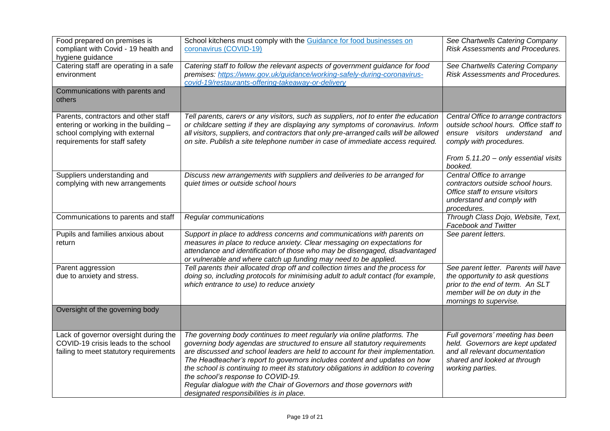| Food prepared on premises is           | School kitchens must comply with the Guidance for food businesses on                  | See Chartwells Catering Company         |
|----------------------------------------|---------------------------------------------------------------------------------------|-----------------------------------------|
| compliant with Covid - 19 health and   | coronavirus (COVID-19)                                                                | Risk Assessments and Procedures.        |
| hygiene guidance                       |                                                                                       |                                         |
| Catering staff are operating in a safe | Catering staff to follow the relevant aspects of government guidance for food         | See Chartwells Catering Company         |
| environment                            | premises: https://www.gov.uk/guidance/working-safely-during-coronavirus-              | <b>Risk Assessments and Procedures.</b> |
|                                        | covid-19/restaurants-offering-takeaway-or-delivery                                    |                                         |
| Communications with parents and        |                                                                                       |                                         |
| others                                 |                                                                                       |                                         |
|                                        |                                                                                       |                                         |
| Parents, contractors and other staff   | Tell parents, carers or any visitors, such as suppliers, not to enter the education   | Central Office to arrange contractors   |
| entering or working in the building -  | or childcare setting if they are displaying any symptoms of coronavirus. Inform       | outside school hours. Office staff to   |
| school complying with external         | all visitors, suppliers, and contractors that only pre-arranged calls will be allowed | ensure visitors understand and          |
| requirements for staff safety          | on site. Publish a site telephone number in case of immediate access required.        | comply with procedures.                 |
|                                        |                                                                                       |                                         |
|                                        |                                                                                       | From 5.11.20 - only essential visits    |
|                                        |                                                                                       | booked.                                 |
| Suppliers understanding and            | Discuss new arrangements with suppliers and deliveries to be arranged for             | Central Office to arrange               |
| complying with new arrangements        | quiet times or outside school hours                                                   | contractors outside school hours.       |
|                                        |                                                                                       | Office staff to ensure visitors         |
|                                        |                                                                                       | understand and comply with              |
|                                        |                                                                                       | procedures.                             |
| Communications to parents and staff    | Regular communications                                                                | Through Class Dojo, Website, Text,      |
|                                        |                                                                                       | Facebook and Twitter                    |
| Pupils and families anxious about      | Support in place to address concerns and communications with parents on               | See parent letters.                     |
| return                                 | measures in place to reduce anxiety. Clear messaging on expectations for              |                                         |
|                                        | attendance and identification of those who may be disengaged, disadvantaged           |                                         |
|                                        | or vulnerable and where catch up funding may need to be applied.                      |                                         |
| Parent aggression                      | Tell parents their allocated drop off and collection times and the process for        | See parent letter. Parents will have    |
| due to anxiety and stress.             | doing so, including protocols for minimising adult to adult contact (for example,     | the opportunity to ask questions        |
|                                        | which entrance to use) to reduce anxiety                                              | prior to the end of term. An SLT        |
|                                        |                                                                                       | member will be on duty in the           |
|                                        |                                                                                       | mornings to supervise.                  |
| Oversight of the governing body        |                                                                                       |                                         |
|                                        |                                                                                       |                                         |
|                                        |                                                                                       |                                         |
| Lack of governor oversight during the  | The governing body continues to meet regularly via online platforms. The              | Full governors' meeting has been        |
| COVID-19 crisis leads to the school    | governing body agendas are structured to ensure all statutory requirements            | held. Governors are kept updated        |
| failing to meet statutory requirements | are discussed and school leaders are held to account for their implementation.        | and all relevant documentation          |
|                                        | The Headteacher's report to governors includes content and updates on how             | shared and looked at through            |
|                                        | the school is continuing to meet its statutory obligations in addition to covering    | working parties.                        |
|                                        | the school's response to COVID-19.                                                    |                                         |
|                                        | Regular dialogue with the Chair of Governors and those governors with                 |                                         |
|                                        | designated responsibilities is in place.                                              |                                         |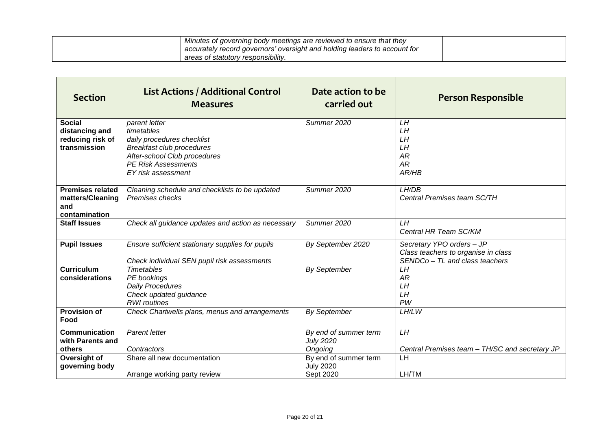| Minutes of governing body meetings are reviewed to ensure that they       |  |
|---------------------------------------------------------------------------|--|
| accurately record governors' oversight and holding leaders to account for |  |
| areas of statutory responsibility.                                        |  |

| <b>Section</b>                                                      | <b>List Actions / Additional Control</b><br><b>Measures</b>                                                                                                                       | Date action to be<br>carried out                       | <b>Person Responsible</b>                                                                          |
|---------------------------------------------------------------------|-----------------------------------------------------------------------------------------------------------------------------------------------------------------------------------|--------------------------------------------------------|----------------------------------------------------------------------------------------------------|
| <b>Social</b><br>distancing and<br>reducing risk of<br>transmission | parent letter<br>timetables<br>daily procedures checklist<br><b>Breakfast club procedures</b><br>After-school Club procedures<br><b>PE Risk Assessments</b><br>EY risk assessment | Summer 2020                                            | LН<br>LH<br>LH<br>LH<br>AR<br><b>AR</b><br>AR/HB                                                   |
| <b>Premises related</b><br>matters/Cleaning<br>and<br>contamination | Cleaning schedule and checklists to be updated<br>Premises checks                                                                                                                 | Summer 2020                                            | LH/DB<br>Central Premises team SC/TH                                                               |
| <b>Staff Issues</b>                                                 | Check all guidance updates and action as necessary                                                                                                                                | Summer 2020                                            | LH<br>Central HR Team SC/KM                                                                        |
| <b>Pupil Issues</b>                                                 | Ensure sufficient stationary supplies for pupils<br>Check individual SEN pupil risk assessments                                                                                   | By September 2020                                      | Secretary YPO orders - JP<br>Class teachers to organise in class<br>SENDCo - TL and class teachers |
| <b>Curriculum</b><br>considerations                                 | <b>Timetables</b><br>PE bookings<br>Daily Procedures<br>Check updated guidance<br><b>RWI</b> routines                                                                             | <b>By September</b>                                    | LH<br>AR<br>LH<br>LH<br>PW                                                                         |
| <b>Provision of</b><br>Food                                         | Check Chartwells plans, menus and arrangements                                                                                                                                    | <b>By September</b>                                    | LH/LW                                                                                              |
| <b>Communication</b><br>with Parents and<br>others                  | <b>Parent letter</b><br>Contractors                                                                                                                                               | By end of summer term<br><b>July 2020</b><br>Ongoing   | LH<br>Central Premises team - TH/SC and secretary JP                                               |
| Oversight of<br>governing body                                      | Share all new documentation<br>Arrange working party review                                                                                                                       | By end of summer term<br><b>July 2020</b><br>Sept 2020 | LH<br>LH/TM                                                                                        |